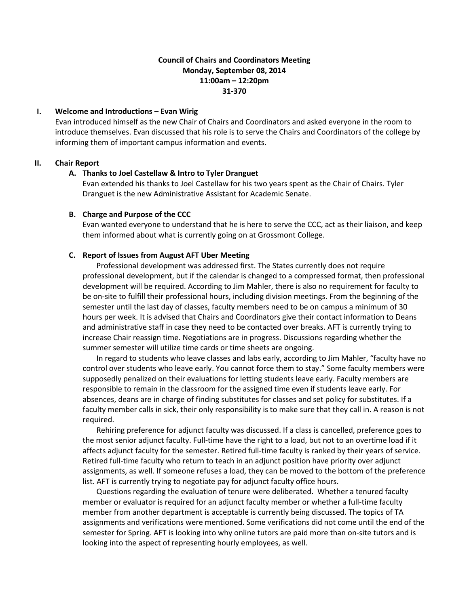# **Council of Chairs and Coordinators Meeting Monday, September 08, 2014 11:00am – 12:20pm 31-370**

# **I. Welcome and Introductions – Evan Wirig**

Evan introduced himself as the new Chair of Chairs and Coordinators and asked everyone in the room to introduce themselves. Evan discussed that his role is to serve the Chairs and Coordinators of the college by informing them of important campus information and events.

# **II. Chair Report**

### **A. Thanks to Joel Castellaw & Intro to Tyler Dranguet**

Evan extended his thanks to Joel Castellaw for his two years spent as the Chair of Chairs. Tyler Dranguet is the new Administrative Assistant for Academic Senate.

# **B. Charge and Purpose of the CCC**

Evan wanted everyone to understand that he is here to serve the CCC, act as their liaison, and keep them informed about what is currently going on at Grossmont College.

# **C. Report of Issues from August AFT Uber Meeting**

Professional development was addressed first. The States currently does not require professional development, but if the calendar is changed to a compressed format, then professional development will be required. According to Jim Mahler, there is also no requirement for faculty to be on-site to fulfill their professional hours, including division meetings. From the beginning of the semester until the last day of classes, faculty members need to be on campus a minimum of 30 hours per week. It is advised that Chairs and Coordinators give their contact information to Deans and administrative staff in case they need to be contacted over breaks. AFT is currently trying to increase Chair reassign time. Negotiations are in progress. Discussions regarding whether the summer semester will utilize time cards or time sheets are ongoing.

In regard to students who leave classes and labs early, according to Jim Mahler, "faculty have no control over students who leave early. You cannot force them to stay." Some faculty members were supposedly penalized on their evaluations for letting students leave early. Faculty members are responsible to remain in the classroom for the assigned time even if students leave early. For absences, deans are in charge of finding substitutes for classes and set policy for substitutes. If a faculty member calls in sick, their only responsibility is to make sure that they call in. A reason is not required.

Rehiring preference for adjunct faculty was discussed. If a class is cancelled, preference goes to the most senior adjunct faculty. Full-time have the right to a load, but not to an overtime load if it affects adjunct faculty for the semester. Retired full-time faculty is ranked by their years of service. Retired full-time faculty who return to teach in an adjunct position have priority over adjunct assignments, as well. If someone refuses a load, they can be moved to the bottom of the preference list. AFT is currently trying to negotiate pay for adjunct faculty office hours.

Questions regarding the evaluation of tenure were deliberated. Whether a tenured faculty member or evaluator is required for an adjunct faculty member or whether a full-time faculty member from another department is acceptable is currently being discussed. The topics of TA assignments and verifications were mentioned. Some verifications did not come until the end of the semester for Spring. AFT is looking into why online tutors are paid more than on-site tutors and is looking into the aspect of representing hourly employees, as well.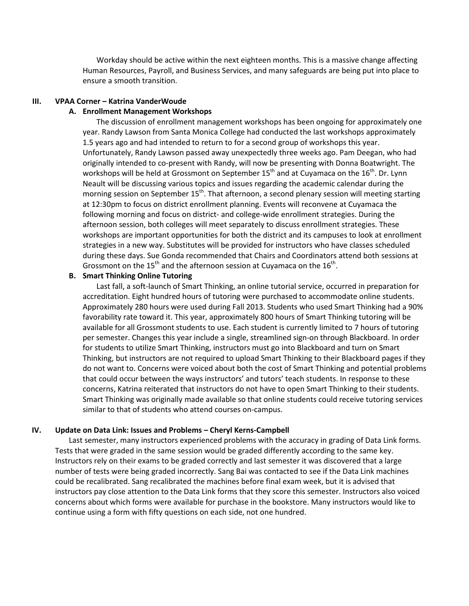Workday should be active within the next eighteen months. This is a massive change affecting Human Resources, Payroll, and Business Services, and many safeguards are being put into place to ensure a smooth transition.

#### **III. VPAA Corner – Katrina VanderWoude**

#### **A. Enrollment Management Workshops**

The discussion of enrollment management workshops has been ongoing for approximately one year. Randy Lawson from Santa Monica College had conducted the last workshops approximately 1.5 years ago and had intended to return to for a second group of workshops this year. Unfortunately, Randy Lawson passed away unexpectedly three weeks ago. Pam Deegan, who had originally intended to co-present with Randy, will now be presenting with Donna Boatwright. The workshops will be held at Grossmont on September  $15<sup>th</sup>$  and at Cuyamaca on the  $16<sup>th</sup>$ . Dr. Lynn Neault will be discussing various topics and issues regarding the academic calendar during the morning session on September 15<sup>th</sup>. That afternoon, a second plenary session will meeting starting at 12:30pm to focus on district enrollment planning. Events will reconvene at Cuyamaca the following morning and focus on district- and college-wide enrollment strategies. During the afternoon session, both colleges will meet separately to discuss enrollment strategies. These workshops are important opportunities for both the district and its campuses to look at enrollment strategies in a new way. Substitutes will be provided for instructors who have classes scheduled during these days. Sue Gonda recommended that Chairs and Coordinators attend both sessions at Grossmont on the  $15<sup>th</sup>$  and the afternoon session at Cuyamaca on the  $16<sup>th</sup>$ .

### **B. Smart Thinking Online Tutoring**

Last fall, a soft-launch of Smart Thinking, an online tutorial service, occurred in preparation for accreditation. Eight hundred hours of tutoring were purchased to accommodate online students. Approximately 280 hours were used during Fall 2013. Students who used Smart Thinking had a 90% favorability rate toward it. This year, approximately 800 hours of Smart Thinking tutoring will be available for all Grossmont students to use. Each student is currently limited to 7 hours of tutoring per semester. Changes this year include a single, streamlined sign-on through Blackboard. In order for students to utilize Smart Thinking, instructors must go into Blackboard and turn on Smart Thinking, but instructors are not required to upload Smart Thinking to their Blackboard pages if they do not want to. Concerns were voiced about both the cost of Smart Thinking and potential problems that could occur between the ways instructors' and tutors' teach students. In response to these concerns, Katrina reiterated that instructors do not have to open Smart Thinking to their students. Smart Thinking was originally made available so that online students could receive tutoring services similar to that of students who attend courses on-campus.

#### **IV. Update on Data Link: Issues and Problems – Cheryl Kerns-Campbell**

Last semester, many instructors experienced problems with the accuracy in grading of Data Link forms. Tests that were graded in the same session would be graded differently according to the same key. Instructors rely on their exams to be graded correctly and last semester it was discovered that a large number of tests were being graded incorrectly. Sang Bai was contacted to see if the Data Link machines could be recalibrated. Sang recalibrated the machines before final exam week, but it is advised that instructors pay close attention to the Data Link forms that they score this semester. Instructors also voiced concerns about which forms were available for purchase in the bookstore. Many instructors would like to continue using a form with fifty questions on each side, not one hundred.